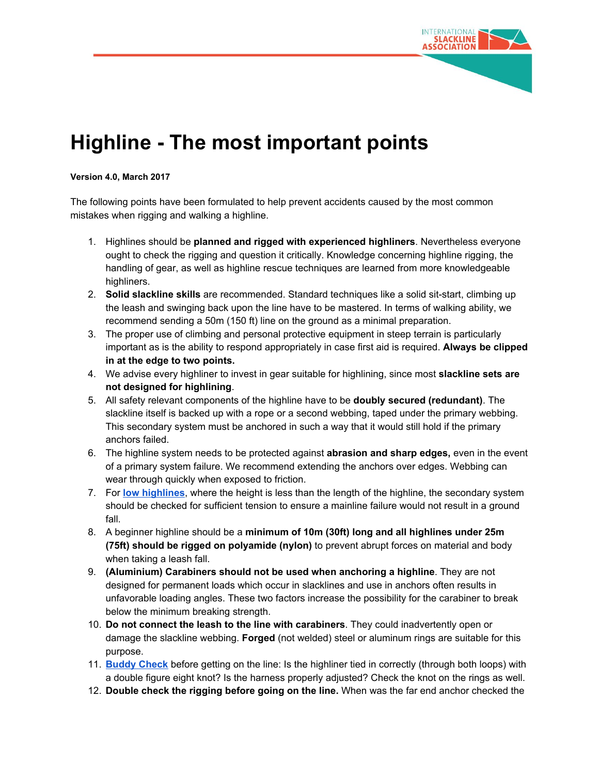

## **Highline - The most important points**

## **Version 4.0, March 2017**

The following points have been formulated to help prevent accidents caused by the most common mistakes when rigging and walking a highline.

- 1. Highlines should be **planned and rigged with experienced highliners**. Nevertheless everyone ought to check the rigging and question it critically. Knowledge concerning highline rigging, the handling of gear, as well as highline rescue techniques are learned from more knowledgeable highliners.
- 2. **Solid slackline skills** are recommended. Standard techniques like a solid sit-start, climbing up the leash and swinging back upon the line have to be mastered. In terms of walking ability, we recommend sending a 50m (150 ft) line on the ground as a minimal preparation.
- 3. The proper use of climbing and personal protective equipment in steep terrain is particularly important as is the ability to respond appropriately in case first aid is required. **Always be clipped in at the edge to two points.**
- 4. We advise every highliner to invest in gear suitable for highlining, since most **slackline sets are not designed for highlining**.
- 5. All safety relevant components of the highline have to be **doubly secured (redundant)**. The slackline itself is backed up with a rope or a second webbing, taped under the primary webbing. This secondary system must be anchored in such a way that it would still hold if the primary anchors failed.
- 6. The highline system needs to be protected against **abrasion and sharp edges,** even in the event of a primary system failure. We recommend extending the anchors over edges. Webbing can wear through quickly when exposed to friction.
- 7. For **low [highlines](http://slacklineinternational.org/wp-content/uploads/2015/11/Midlines-low_highlines_ISA_2015.11.05_en_v5.pdf)**, where the height is less than the length of the highline, the secondary system should be checked for sufficient tension to ensure a mainline failure would not result in a ground fall.
- 8. A beginner highline should be a **minimum of 10m (30ft) long and all highlines under 25m (75ft) should be rigged on polyamide (nylon)** to prevent abrupt forces on material and body when taking a leash fall.
- 9. **(Aluminium) Carabiners should not be used when anchoring a highline**. They are not designed for permanent loads which occur in slacklines and use in anchors often results in unfavorable loading angles. These two factors increase the possibility for the carabiner to break below the minimum breaking strength.
- 10. **Do not connect the leash to the line with carabiners**. They could inadvertently open or damage the slackline webbing. **Forged** (not welded) steel or aluminum rings are suitable for this purpose.
- 11. **[Buddy](http://slacklineinternational.org/wp-content/uploads/2016/06/BuddyCheckAdvisory.pdf) Check** before getting on the line: Is the highliner tied in correctly (through both loops) with a double figure eight knot? Is the harness properly adjusted? Check the knot on the rings as well.
- 12. **Double check the rigging before going on the line.** When was the far end anchor checked the